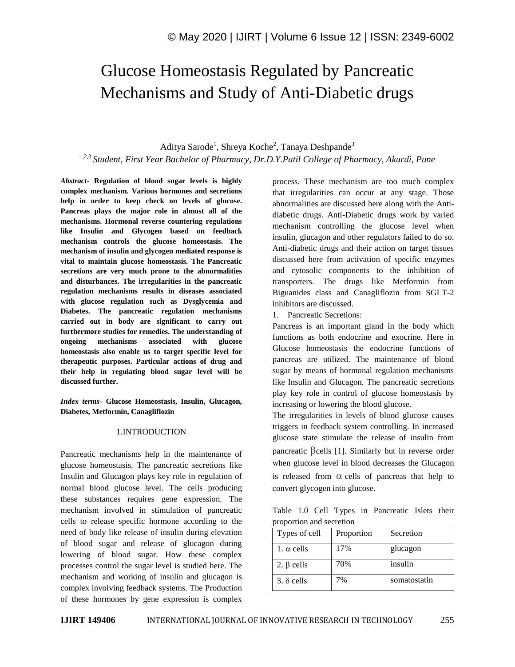# Glucose Homeostasis Regulated by Pancreatic Mechanisms and Study of Anti-Diabetic drugs

Aditya Sarode<sup>1</sup>, Shreya Koche<sup>2</sup>, Tanaya Deshpande<sup>3</sup>

1,2,3 *Student, First Year Bachelor of Pharmacy, Dr.D.Y.Patil College of Pharmacy, Akurdi, Pune*

*Abstract*- **Regulation of blood sugar levels is highly complex mechanism. Various hormones and secretions help in order to keep check on levels of glucose. Pancreas plays the major role in almost all of the mechanisms. Hormonal reverse countering regulations like Insulin and Glycogen based on feedback mechanism controls the glucose homeostasis. The mechanism of insulin and glycogen mediated response is vital to maintain glucose homeostasis. The Pancreatic secretions are very much prone to the abnormalities and disturbances. The irregularities in the pancreatic regulation mechanisms results in diseases associated with glucose regulation such as Dysglycemia and Diabetes. The pancreatic regulation mechanisms carried out in body are significant to carry out furthermore studies for remedies. The understanding of ongoing mechanisms associated with glucose homeostasis also enable us to target specific level for therapeutic purposes. Particular actions of drug and their help in regulating blood sugar level will be discussed further.**

*Index terms***- Glucose Homeostasis, Insulin, Glucagon, Diabetes, Metformin, Canagliflozin**

## 1.INTRODUCTION

Pancreatic mechanisms help in the maintenance of glucose homeostasis. The pancreatic secretions like Insulin and Glucagon plays key role in regulation of normal blood glucose level. The cells producing these substances requires gene expression. The mechanism involved in stimulation of pancreatic cells to release specific hormone according to the need of body like release of insulin during elevation of blood sugar and release of glucagon during lowering of blood sugar. How these complex processes control the sugar level is studied here. The mechanism and working of insulin and glucagon is complex involving feedback systems. The Production of these hormones by gene expression is complex

process. These mechanism are too much complex that irregularities can occur at any stage. Those abnormalities are discussed here along with the Antidiabetic drugs. Anti-Diabetic drugs work by varied mechanism controlling the glucose level when insulin, glucagon and other regulators failed to do so. Anti-diabetic drugs and their action on target tissues discussed here from activation of specific enzymes and cytosolic components to the inhibition of transporters. The drugs like Metformin from Biguanides class and Canagliflozin from SGLT-2 inhibitors are discussed.

1. Pancreatic Secretions:

convert glycogen into glucose.

Pancreas is an important gland in the body which functions as both endocrine and exocrine. Here in Glucose homeostasis the endocrine functions of pancreas are utilized. The maintenance of blood sugar by means of hormonal regulation mechanisms like Insulin and Glucagon. The pancreatic secretions play key role in control of glucose homeostasis by increasing or lowering the blood glucose.

The irregularities in levels of blood glucose causes triggers in feedback system controlling. In increased glucose state stimulate the release of insulin from pancreatic  $\beta$ cells [1]. Similarly but in reverse order when glucose level in blood decreases the Glucagon is released from  $\alpha$  cells of pancreas that help to

Table 1.0 Cell Types in Pancreatic Islets their proportion and secretion

| Types of cell     | Proportion | Secretion    |
|-------------------|------------|--------------|
| 1. $\alpha$ cells | 17%        | glucagon     |
| 2. $\beta$ cells  | 70%        | insulin      |
| $3. \delta$ cells | 7%         | somatostatin |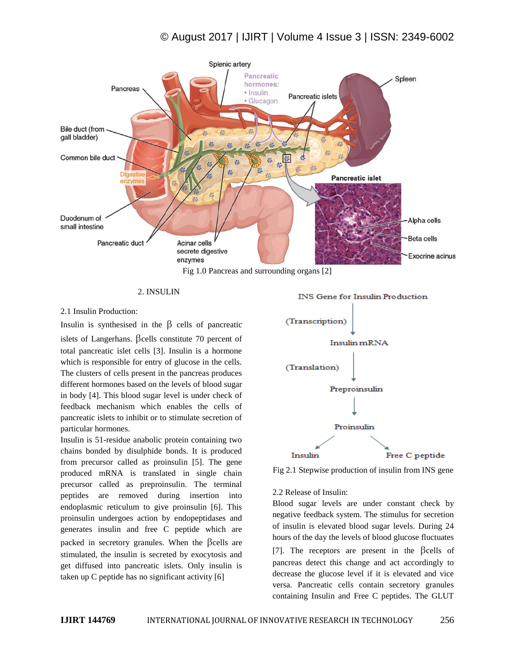

### 2. INSULIN

## 2.1 Insulin Production:

Insulin is synthesised in the  $\beta$  cells of pancreatic islets of Langerhans.  $\beta$ cells constitute 70 percent of total pancreatic islet cells [3]. Insulin is a hormone which is responsible for entry of glucose in the cells. The clusters of cells present in the pancreas produces different hormones based on the levels of blood sugar in body [4]. This blood sugar level is under check of feedback mechanism which enables the cells of pancreatic islets to inhibit or to stimulate secretion of particular hormones.

Insulin is 51-residue anabolic protein containing two chains bonded by disulphide bonds. It is produced from precursor called as proinsulin [5]. The gene produced mRNA is translated in single chain precursor called as preproinsulin. The terminal peptides are removed during insertion into endoplasmic reticulum to give proinsulin [6]. This proinsulin undergoes action by endopeptidases and generates insulin and free C peptide which are packed in secretory granules. When the  $\beta$ cells are stimulated, the insulin is secreted by exocytosis and get diffused into pancreatic islets. Only insulin is taken up C peptide has no significant activity [6]



Fig 2.1 Stepwise production of insulin from INS gene

#### 2.2 Release of Insulin:

Blood sugar levels are under constant check by negative feedback system. The stimulus for secretion of insulin is elevated blood sugar levels. During 24 hours of the day the levels of blood glucose fluctuates [7]. The receptors are present in the  $\beta$ cells of pancreas detect this change and act accordingly to decrease the glucose level if it is elevated and vice versa. Pancreatic cells contain secretory granules containing Insulin and Free C peptides. The GLUT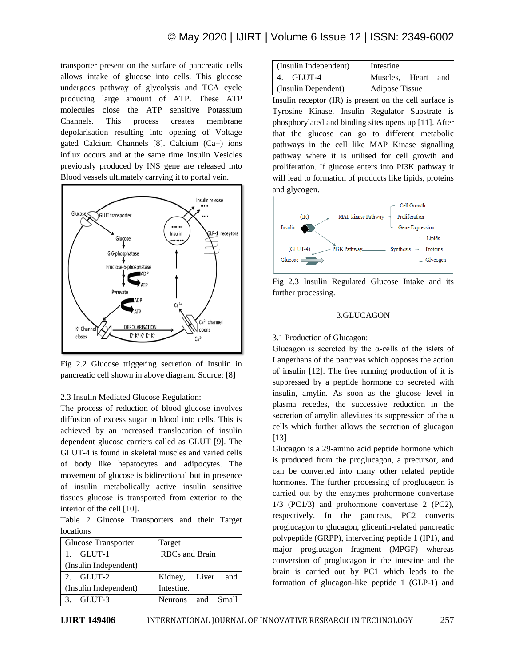transporter present on the surface of pancreatic cells allows intake of glucose into cells. This glucose undergoes pathway of glycolysis and TCA cycle producing large amount of ATP. These ATP molecules close the ATP sensitive Potassium Channels. This process creates membrane depolarisation resulting into opening of Voltage gated Calcium Channels [8]. Calcium (Ca+) ions influx occurs and at the same time Insulin Vesicles previously produced by INS gene are released into Blood vessels ultimately carrying it to portal vein.



Fig 2.2 Glucose triggering secretion of Insulin in pancreatic cell shown in above diagram. Source: [8]

## 2.3 Insulin Mediated Glucose Regulation:

The process of reduction of blood glucose involves diffusion of excess sugar in blood into cells. This is achieved by an increased translocation of insulin dependent glucose carriers called as GLUT [9]. The GLUT-4 is found in skeletal muscles and varied cells of body like hepatocytes and adipocytes. The movement of glucose is bidirectional but in presence of insulin metabolically active insulin sensitive tissues glucose is transported from exterior to the interior of the cell [10].

Table 2 Glucose Transporters and their Target locations

| Glucose Transporter   | Target                |  |
|-----------------------|-----------------------|--|
| 1. GLUT-1             | <b>RBCs</b> and Brain |  |
| (Insulin Independent) |                       |  |
| 2. $GLIIT-2$          | Kidney, Liver<br>and  |  |
| (Insulin Independent) | Intestine.            |  |
| $3.$ GLUT-3           | Neurons and Small     |  |

| (Insulin Independent) | Intestine             |  |  |
|-----------------------|-----------------------|--|--|
| 4. GLUT-4             | Muscles, Heart<br>and |  |  |
| (Insulin Dependent)   | Adipose Tissue        |  |  |

Insulin receptor (IR) is present on the cell surface is Tyrosine Kinase. Insulin Regulator Substrate is phosphorylated and binding sites opens up [11]. After that the glucose can go to different metabolic pathways in the cell like MAP Kinase signalling pathway where it is utilised for cell growth and proliferation. If glucose enters into PI3K pathway it will lead to formation of products like lipids, proteins and glycogen.



Fig 2.3 Insulin Regulated Glucose Intake and its further processing.

## 3.GLUCAGON

## 3.1 Production of Glucagon:

Glucagon is secreted by the  $\alpha$ -cells of the islets of Langerhans of the pancreas which opposes the action of insulin [12]. The free running production of it is suppressed by a peptide hormone co secreted with insulin, amylin. As soon as the glucose level in plasma recedes, the successive reduction in the secretion of amylin alleviates its suppression of the  $\alpha$ cells which further allows the secretion of glucagon [13]

Glucagon is a 29-amino acid peptide hormone which is produced from the proglucagon, a precursor, and can be converted into many other related peptide hormones. The further processing of proglucagon is carried out by the enzymes prohormone convertase 1/3 (PC1/3) and prohormone convertase 2 (PC2), respectively. In the pancreas, PC2 converts proglucagon to glucagon, glicentin-related pancreatic polypeptide (GRPP), intervening peptide 1 (IP1), and major proglucagon fragment (MPGF) whereas conversion of proglucagon in the intestine and the brain is carried out by PC1 which leads to the formation of glucagon-like peptide 1 (GLP-1) and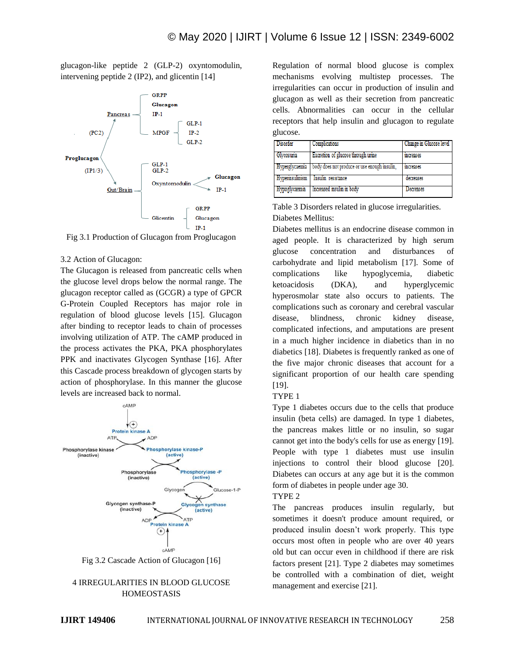glucagon-like peptide 2 (GLP-2) oxyntomodulin, intervening peptide 2 (IP2), and glicentin [14]



Fig 3.1 Production of Glucagon from Proglucagon

#### 3.2 Action of Glucagon:

The Glucagon is released from pancreatic cells when the glucose level drops below the normal range. The glucagon receptor called as (GCGR) a type of GPCR G-Protein Coupled Receptors has major role in regulation of blood glucose levels [15]. Glucagon after binding to receptor leads to chain of processes involving utilization of ATP. The cAMP produced in the process activates the PKA, PKA phosphorylates PPK and inactivates Glycogen Synthase [16]. After this Cascade process breakdown of glycogen starts by action of phosphorylase. In this manner the glucose levels are increased back to normal.



Fig 3.2 Cascade Action of Glucagon [16]



Regulation of normal blood glucose is complex mechanisms evolving multistep processes. The irregularities can occur in production of insulin and glucagon as well as their secretion from pancreatic cells. Abnormalities can occur in the cellular receptors that help insulin and glucagon to regulate glucose.

| Disorder       | Complications                                | Change in Glucose level |
|----------------|----------------------------------------------|-------------------------|
| Glycosuria     | Excretion of glucose through urine           | increases               |
| Hyperglycaemia | body does not produce or use enough insulin. | increases               |
| Hyperinsulmism | Insulin resistance                           | decreases               |
| Hypoglycaemia  | Increased insulin in body                    | Decreases               |

Table 3 Disorders related in glucose irregularities. Diabetes Mellitus:

Diabetes mellitus is an endocrine disease common in aged people. It is characterized by high serum glucose concentration and disturbances of carbohydrate and lipid metabolism [17]. Some of complications like hypoglycemia, diabetic ketoacidosis (DKA), and hyperglycemic hyperosmolar state also occurs to patients. The complications such as coronary and cerebral vascular disease, blindness, chronic kidney disease, complicated infections, and amputations are present in a much higher incidence in diabetics than in no diabetics [18]. Diabetes is frequently ranked as one of the five major chronic diseases that account for a significant proportion of our health care spending [19].

#### TYPE 1

Type 1 diabetes occurs due to the cells that produce insulin (beta cells) are damaged. In type 1 diabetes, the pancreas makes little or no insulin, so sugar cannot get into the body's cells for use as energy [19]. People with type 1 diabetes must use insulin injections to control their blood glucose [20]. Diabetes can occurs at any age but it is the common form of diabetes in people under age 30.

## TYPE 2

The pancreas produces insulin regularly, but sometimes it doesn't produce amount required, or produced insulin doesn't work properly. This type occurs most often in people who are over 40 years old but can occur even in childhood if there are risk factors present [21]. Type 2 diabetes may sometimes be controlled with a combination of diet, weight management and exercise [21].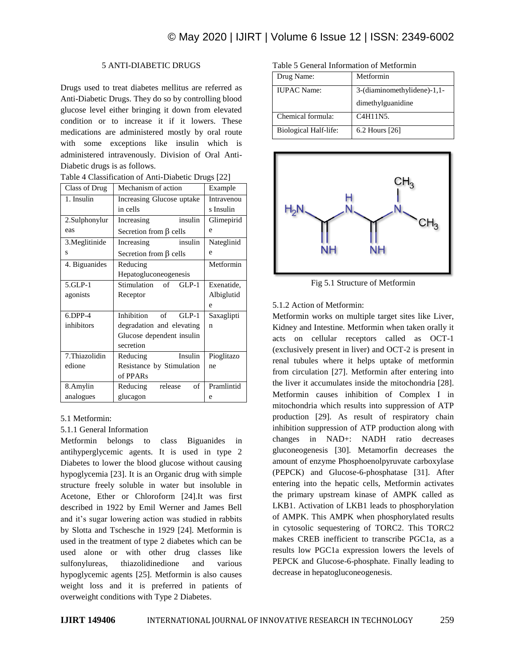## 5 ANTI-DIABETIC DRUGS

Drugs used to treat diabetes mellitus are referred as Anti-Diabetic Drugs. They do so by controlling blood glucose level either bringing it down from elevated condition or to increase it if it lowers. These medications are administered mostly by oral route with some exceptions like insulin which is administered intravenously. Division of Oral Anti-Diabetic drugs is as follows.

|  | Table 4 Classification of Anti-Diabetic Drugs [22] |  |
|--|----------------------------------------------------|--|
|--|----------------------------------------------------|--|

| Class of Drug  | Mechanism of action                  | Example    |
|----------------|--------------------------------------|------------|
| 1. Insulin     | Increasing Glucose uptake            | Intravenou |
|                | in cells                             | s Insulin  |
| 2.Sulphonylur  | insulin<br>Increasing                | Glimepirid |
| eas            | Secretion from $\beta$ cells         | e          |
| 3. Meglitinide | insulin<br>Increasing                | Nateglinid |
| S              | Secretion from $\beta$ cells         | e          |
| 4. Biguanides  | Reducing                             | Metformin  |
|                | Hepatogluconeogenesis                |            |
| 5.GLP-1        | Stimulation<br>$GLP-1$<br>$\sigma$ f | Exenatide, |
| agonists       | Receptor                             | Albiglutid |
|                |                                      | e          |
| $6.$ DPP-4     | Inhibition<br>of<br>$GLP-1$          | Saxaglipti |
| inhibitors     | degradation and elevating            | n          |
|                | Glucose dependent insulin            |            |
|                | secretion                            |            |
| 7.Thiazolidin  | Insulin<br>Reducing                  | Pioglitazo |
| edione         | Resistance by Stimulation            | ne         |
|                | of PPARs                             |            |
| 8.Amylin       | Reducing<br>release<br>of            | Pramlintid |
| analogues      | glucagon                             | e          |

## 5.1 Metformin:

## 5.1.1 General Information

Metformin belongs to class Biguanides in antihyperglycemic agents. It is used in type 2 Diabetes to lower the blood glucose without causing hypoglycemia [23]. It is an Organic drug with simple structure freely soluble in water but insoluble in Acetone, Ether or Chloroform [24].It was first described in 1922 by Emil Werner and James Bell and it's sugar lowering action was studied in rabbits by Slotta and Tschesche in 1929 [24]. Metformin is used in the treatment of type 2 diabetes which can be used alone or with other drug classes like sulfonylureas, thiazolidinedione and various hypoglycemic agents [25]. Metformin is also causes weight loss and it is preferred in patients of overweight conditions with Type 2 Diabetes.

Table 5 General Information of Metformin

| Drug Name:                   | Metformin                   |
|------------------------------|-----------------------------|
| <b>IUPAC</b> Name:           | 3-(diaminomethylidene)-1,1- |
|                              | dimethylguanidine           |
| Chemical formula:            | C4H11N5.                    |
| <b>Biological Half-life:</b> | 6.2 Hours [26]              |



Fig 5.1 Structure of Metformin

## 5.1.2 Action of Metformin:

Metformin works on multiple target sites like Liver, Kidney and Intestine. Metformin when taken orally it acts on cellular receptors called as OCT-1 (exclusively present in liver) and OCT-2 is present in renal tubules where it helps uptake of metformin from circulation [27]. Metformin after entering into the liver it accumulates inside the mitochondria [28]. Metformin causes inhibition of Complex I in mitochondria which results into suppression of ATP production [29]. As result of respiratory chain inhibition suppression of ATP production along with changes in NAD+: NADH ratio decreases gluconeogenesis [30]. Metamorfin decreases the amount of enzyme Phosphoenolpyruvate carboxylase (PEPCK) and Glucose-6-phosphatase [31]. After entering into the hepatic cells, Metformin activates the primary upstream kinase of AMPK called as LKB1. Activation of LKB1 leads to phosphorylation of AMPK. This AMPK when phosphorylated results in cytosolic sequestering of TORC2. This TORC2 makes CREB inefficient to transcribe PGC1a, as a results low PGC1a expression lowers the levels of PEPCK and Glucose-6-phosphate. Finally leading to decrease in hepatogluconeogenesis.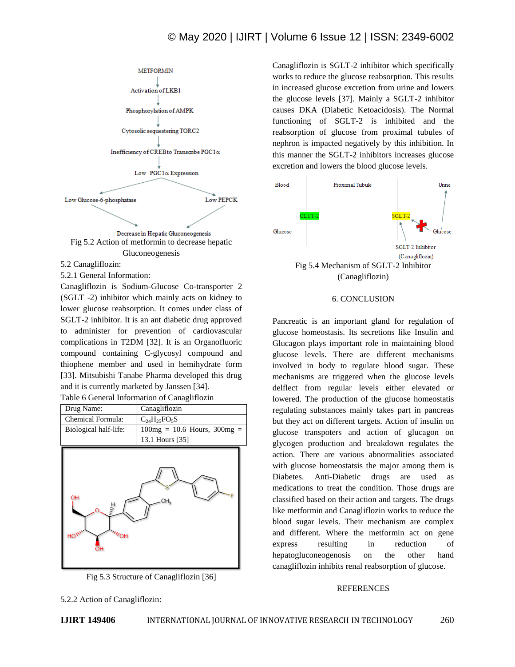## © May 2020 | IJIRT | Volume 6 Issue 12 | ISSN: 2349-6002



5.2 Canagliflozin:

5.2.1 General Information:

Canagliflozin is Sodium-Glucose Co-transporter 2 (SGLT -2) inhibitor which mainly acts on kidney to lower glucose reabsorption. It comes under class of SGLT-2 inhibitor. It is an ant diabetic drug approved to administer for prevention of cardiovascular complications in T2DM [32]. It is an Organofluoric compound containing C-glycosyl compound and thiophene member and used in hemihydrate form [33]. Mitsubishi Tanabe Pharma developed this drug and it is currently marketed by Janssen [34].

| Table 6 General Information of Canagliflozin |  |  |  |  |  |
|----------------------------------------------|--|--|--|--|--|
|----------------------------------------------|--|--|--|--|--|





Canagliflozin is SGLT-2 inhibitor which specifically works to reduce the glucose reabsorption. This results in increased glucose excretion from urine and lowers the glucose levels [37]. Mainly a SGLT-2 inhibitor causes DKA (Diabetic Ketoacidosis). The Normal functioning of SGLT-2 is inhibited and the reabsorption of glucose from proximal tubules of nephron is impacted negatively by this inhibition. In this manner the SGLT-2 inhibitors increases glucose excretion and lowers the blood glucose levels.



#### 6. CONCLUSION

Pancreatic is an important gland for regulation of glucose homeostasis. Its secretions like Insulin and Glucagon plays important role in maintaining blood glucose levels. There are different mechanisms involved in body to regulate blood sugar. These mechanisms are triggered when the glucose levels delflect from regular levels either elevated or lowered. The production of the glucose homeostatis regulating substances mainly takes part in pancreas but they act on different targets. Action of insulin on glucose transpoters and action of glucagon on glycogen production and breakdown regulates the action. There are various abnormalities associated with glucose homeostatsis the major among them is Diabetes. Anti-Diabetic drugs are used as medications to treat the condition. Those drugs are classified based on their action and targets. The drugs like metformin and Canagliflozin works to reduce the blood sugar levels. Their mechanism are complex and different. Where the metformin act on gene express resulting in reduction of hepatogluconeogenosis on the other hand canagliflozin inhibits renal reabsorption of glucose.

#### REFERENCES

5.2.2 Action of Canagliflozin: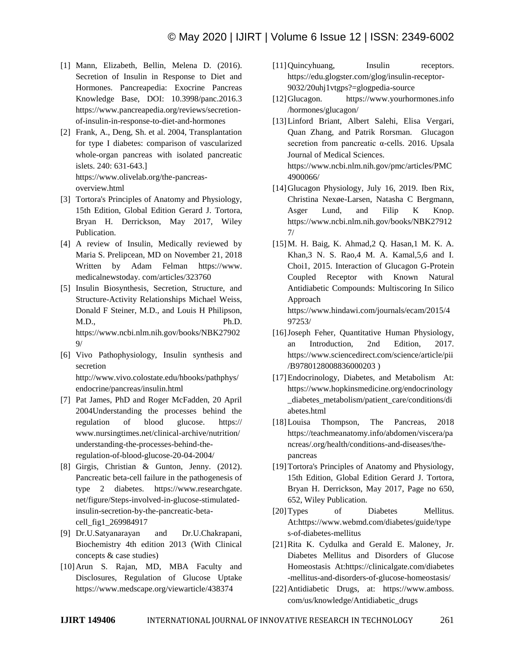- [1] Mann, Elizabeth, Bellin, Melena D. (2016). Secretion of Insulin in Response to Diet and Hormones. Pancreapedia: Exocrine Pancreas Knowledge Base, DOI: 10.3998/panc.2016.3 https://www.pancreapedia.org/reviews/secretionof-insulin-in-response-to-diet-and-hormones
- [2] Frank, A., Deng, Sh. et al. 2004, Transplantation for type I diabetes: comparison of vascularized whole-organ pancreas with isolated pancreatic islets. 240: 631-643.] https://www.olivelab.org/the-pancreasoverview.html
- [3] Tortora's Principles of Anatomy and Physiology, 15th Edition, Global Edition Gerard J. Tortora, Bryan H. Derrickson, May 2017, Wiley Publication.
- [4] A review of Insulin, Medically reviewed by Maria S. Prelipcean, MD on November 21, 2018 Written by Adam Felman https://www. medicalnewstoday. com/articles/323760
- [5] Insulin Biosynthesis, Secretion, Structure, and Structure-Activity Relationships Michael Weiss, Donald F Steiner, M.D., and Louis H Philipson, M.D., Ph.D. https://www.ncbi.nlm.nih.gov/books/NBK27902 9/
- [6] Vivo Pathophysiology, Insulin synthesis and secretion http://www.vivo.colostate.edu/hbooks/pathphys/ endocrine/pancreas/insulin.html
- [7] Pat James, PhD and Roger McFadden, 20 April 2004Understanding the processes behind the regulation of blood glucose. https:// www.nursingtimes.net/clinical-archive/nutrition/ understanding-the-processes-behind-theregulation-of-blood-glucose-20-04-2004/
- [8] Girgis, Christian & Gunton, Jenny. (2012). Pancreatic beta-cell failure in the pathogenesis of type 2 diabetes. https://www.researchgate. net/figure/Steps-involved-in-glucose-stimulatedinsulin-secretion-by-the-pancreatic-betacell\_fig1\_269984917
- [9] Dr.U.Satyanarayan and Dr.U.Chakrapani, Biochemistry 4th edition 2013 (With Clinical concepts & case studies)
- [10]Arun S. Rajan, MD, MBA Faculty and Disclosures, Regulation of Glucose Uptake https://www.medscape.org/viewarticle/438374
- [11] Quincyhuang, Insulin receptors. https://edu.glogster.com/glog/insulin-receptor-9032/20uhj1vtgps?=glogpedia-source
- [12]Glucagon. https://www.yourhormones.info /hormones/glucagon/
- [13]Linford Briant, Albert Salehi, Elisa Vergari, Quan Zhang, and Patrik Rorsman. Glucagon secretion from pancreatic α-cells. 2016. Upsala Journal of Medical Sciences. https://www.ncbi.nlm.nih.gov/pmc/articles/PMC 4900066/
- [14]Glucagon Physiology, July 16, 2019. Iben Rix, Christina Nexøe-Larsen, Natasha C Bergmann, Asger Lund, and Filip K Knop. https://www.ncbi.nlm.nih.gov/books/NBK27912 7/
- [15]M. H. Baig, K. Ahmad,2 Q. Hasan,1 M. K. A. Khan,3 N. S. Rao,4 M. A. Kamal,5,6 and I. Choi1, 2015. Interaction of Glucagon G-Protein Coupled Receptor with Known Natural Antidiabetic Compounds: Multiscoring In Silico Approach https://www.hindawi.com/journals/ecam/2015/4

97253/

- [16] Joseph Feher, Quantitative Human Physiology, an Introduction, 2nd Edition, 2017. https://www.sciencedirect.com/science/article/pii /B9780128008836000203 )
- [17] Endocrinology, Diabetes, and Metabolism At: https://www.hopkinsmedicine.org/endocrinology \_diabetes\_metabolism/patient\_care/conditions/di abetes.html
- [18]Louisa Thompson, The Pancreas, 2018 https://teachmeanatomy.info/abdomen/viscera/pa ncreas/.org/health/conditions-and-diseases/thepancreas
- [19] Tortora's Principles of Anatomy and Physiology, 15th Edition, Global Edition Gerard J. Tortora, Bryan H. Derrickson, May 2017, Page no 650, 652, Wiley Publication.
- [20]Types of Diabetes Mellitus. At:https://www.webmd.com/diabetes/guide/type s-of-diabetes-mellitus
- [21]Rita K. Cydulka and Gerald E. Maloney, Jr. Diabetes Mellitus and Disorders of Glucose Homeostasis At:https://clinicalgate.com/diabetes -mellitus-and-disorders-of-glucose-homeostasis/
- [22]Antidiabetic Drugs, at: https://www.amboss. com/us/knowledge/Antidiabetic\_drugs